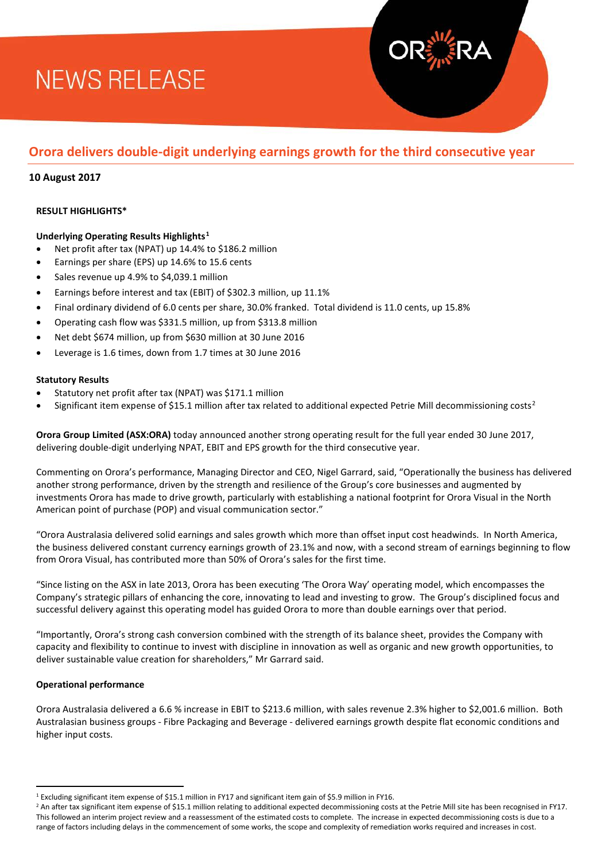# **NEWS RELEASE**

# **Orora delivers double-digit underlying earnings growth for the third consecutive year**

## **10 August 2017**

## **RESULT HIGHLIGHTS\***

## **Underlying Operating Results Highlights[1](#page-0-0)**

- Net profit after tax (NPAT) up 14.4% to \$186.2 million
- Earnings per share (EPS) up 14.6% to 15.6 cents
- Sales revenue up 4.9% to \$4,039.1 million
- Earnings before interest and tax (EBIT) of \$302.3 million, up 11.1%
- Final ordinary dividend of 6.0 cents per share, 30.0% franked. Total dividend is 11.0 cents, up 15.8%
- Operating cash flow was \$331.5 million, up from \$313.8 million
- Net debt \$674 million, up from \$630 million at 30 June 2016
- Leverage is 1.6 times, down from 1.7 times at 30 June 2016

#### **Statutory Results**

- Statutory net profit after tax (NPAT) was \$171.1 million
- Significant item expense of \$15.1 million after tax related to additional expected Petrie Mill decommissioning costs<sup>[2](#page-0-1)</sup>

**Orora Group Limited (ASX:ORA)** today announced another strong operating result for the full year ended 30 June 2017, delivering double-digit underlying NPAT, EBIT and EPS growth for the third consecutive year.

Commenting on Orora's performance, Managing Director and CEO, Nigel Garrard, said, "Operationally the business has delivered another strong performance, driven by the strength and resilience of the Group's core businesses and augmented by investments Orora has made to drive growth, particularly with establishing a national footprint for Orora Visual in the North American point of purchase (POP) and visual communication sector."

"Orora Australasia delivered solid earnings and sales growth which more than offset input cost headwinds. In North America, the business delivered constant currency earnings growth of 23.1% and now, with a second stream of earnings beginning to flow from Orora Visual, has contributed more than 50% of Orora's sales for the first time.

"Since listing on the ASX in late 2013, Orora has been executing 'The Orora Way' operating model, which encompasses the Company's strategic pillars of enhancing the core, innovating to lead and investing to grow. The Group's disciplined focus and successful delivery against this operating model has guided Orora to more than double earnings over that period.

"Importantly, Orora's strong cash conversion combined with the strength of its balance sheet, provides the Company with capacity and flexibility to continue to invest with discipline in innovation as well as organic and new growth opportunities, to deliver sustainable value creation for shareholders," Mr Garrard said.

#### **Operational performance**

 $\overline{\phantom{a}}$ 

Orora Australasia delivered a 6.6 % increase in EBIT to \$213.6 million, with sales revenue 2.3% higher to \$2,001.6 million. Both Australasian business groups - Fibre Packaging and Beverage - delivered earnings growth despite flat economic conditions and higher input costs.

<span id="page-0-1"></span><sup>2</sup> An after tax significant item expense of \$15.1 million relating to additional expected decommissioning costs at the Petrie Mill site has been recognised in FY17. This followed an interim project review and a reassessment of the estimated costs to complete. The increase in expected decommissioning costs is due to a range of factors including delays in the commencement of some works, the scope and complexity of remediation works required and increases in cost.

<span id="page-0-0"></span><sup>1</sup> Excluding significant item expense of \$15.1 million in FY17 and significant item gain of \$5.9 million in FY16.